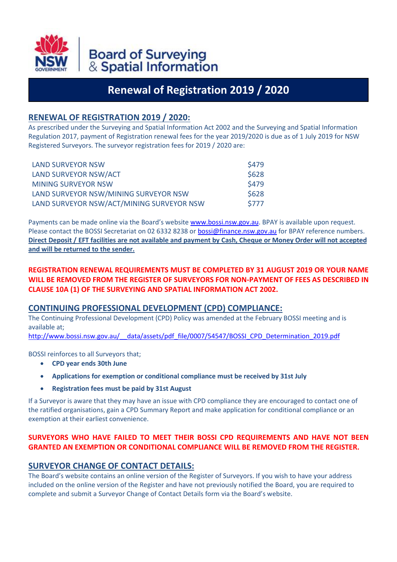

# **Renewal of Registration 2019 / 2020**

# **RENEWAL OF REGISTRATION 2019 / 2020:**

As prescribed under the Surveying and Spatial Information Act 2002 and the Surveying and Spatial Information Regulation 2017, payment of Registration renewal fees for the year 2019/2020 is due as of 1 July 2019 for NSW Registered Surveyors. The surveyor registration fees for 2019 / 2020 are:

| <b>LAND SURVEYOR NSW</b>                  | <b>S479</b>  |
|-------------------------------------------|--------------|
| LAND SURVEYOR NSW/ACT                     | \$628        |
| <b>MINING SURVEYOR NSW</b>                | <b>\$479</b> |
| LAND SURVEYOR NSW/MINING SURVEYOR NSW     | \$628        |
| LAND SURVEYOR NSW/ACT/MINING SURVEYOR NSW | \$777        |

Payments can be made online via the Board's websit[e www.bossi.nsw.gov.au.](http://www.bossi.nsw.gov.au/) BPAY is available upon request. Please contact the BOSSI Secretariat on 02 6332 8238 o[r bossi@finance.nsw.gov.au](mailto:bossi@finance.nsw.gov.au) for BPAY reference numbers. **Direct Deposit / EFT facilities are not available and payment by Cash, Cheque or Money Order will not accepted and will be returned to the sender.**

### **REGISTRATION RENEWAL REQUIREMENTS MUST BE COMPLETED BY 31 AUGUST 2019 OR YOUR NAME WILL BE REMOVED FROM THE REGISTER OF SURVEYORS FOR NON-PAYMENT OF FEES AS DESCRIBED IN CLAUSE 10A (1) OF THE SURVEYING AND SPATIAL INFORMATION ACT 2002.**

#### **CONTINUING PROFESSIONAL DEVELOPMENT (CPD) COMPLIANCE:**

The Continuing Professional Development (CPD) Policy was amended at the February BOSSI meeting and is available at;

http://www.bossi.nsw.gov.au/ data/assets/pdf file/0007/54547/BOSSI\_CPD\_Determination\_2019.pdf

BOSSI reinforces to all Surveyors that;

- **CPD year ends 30th June**
- **Applications for exemption or conditional compliance must be received by 31st July**
- **Registration fees must be paid by 31st August**

If a Surveyor is aware that they may have an issue with CPD compliance they are encouraged to contact one of the ratified organisations, gain a CPD Summary Report and make application for conditional compliance or an exemption at their earliest convenience.

## **SURVEYORS WHO HAVE FAILED TO MEET THEIR BOSSI CPD REQUIREMENTS AND HAVE NOT BEEN GRANTED AN EXEMPTION OR CONDITIONAL COMPLIANCE WILL BE REMOVED FROM THE REGISTER.**

# **SURVEYOR CHANGE OF CONTACT DETAILS:**

The Board's website contains an online version of the Register of Surveyors. If you wish to have your address included on the online version of the Register and have not previously notified the Board, you are required to complete and submit a Surveyor Change of Contact Details form via the Board's website.